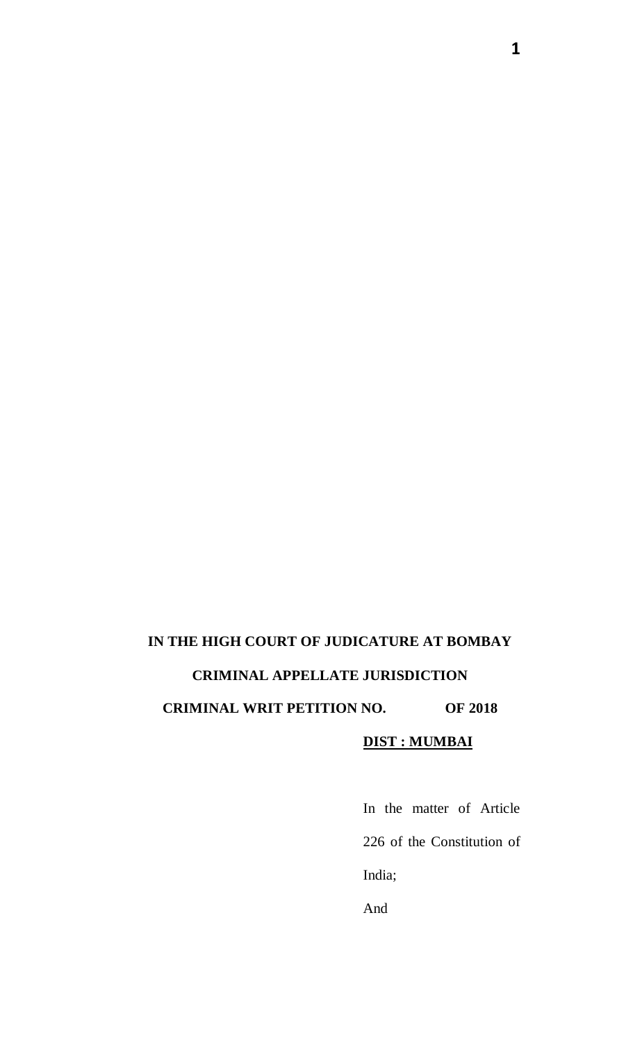## **IN THE HIGH COURT OF JUDICATURE AT BOMBAY CRIMINAL APPELLATE JURISDICTION**

## **CRIMINAL WRIT PETITION NO. OF 2018**

#### **DIST : MUMBAI**

In the matter of Article 226 of the Constitution of India; And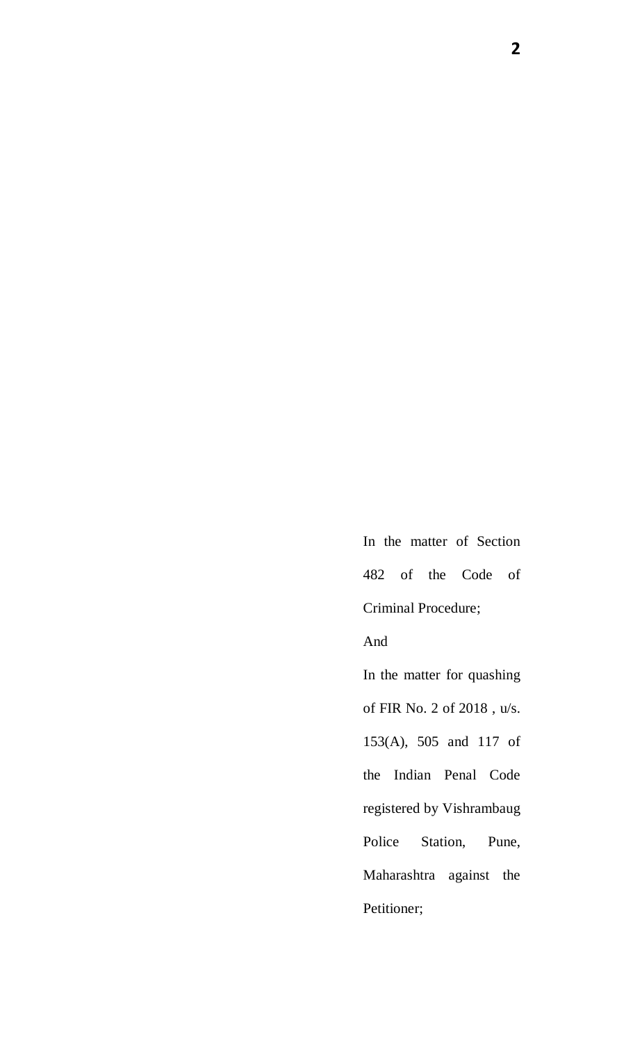In the matter of Section 482 of the Code of Criminal Procedure;

### And

In the matter for quashing of FIR No. 2 of 2018 , u/s. 153(A), 505 and 117 of the Indian Penal Code registered by Vishrambaug Police Station, Pune, Maharashtra against the Petitioner;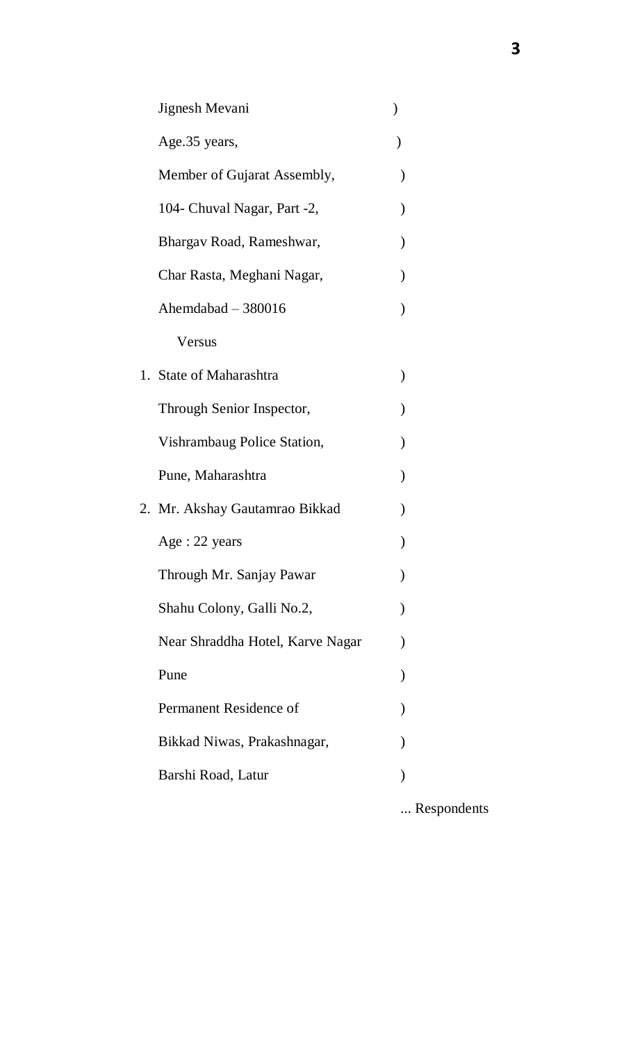| Jignesh Mevani                   |  |
|----------------------------------|--|
| Age.35 years,                    |  |
| Member of Gujarat Assembly,      |  |
| 104 - Chuval Nagar, Part -2,     |  |
| Bhargav Road, Rameshwar,         |  |
| Char Rasta, Meghani Nagar,       |  |
| Ahemdabad $-380016$              |  |
| Versus                           |  |
| 1. State of Maharashtra          |  |
| Through Senior Inspector,        |  |
| Vishrambaug Police Station,      |  |
| Pune, Maharashtra                |  |
| 2. Mr. Akshay Gautamrao Bikkad   |  |
| Age: 22 years                    |  |
| Through Mr. Sanjay Pawar         |  |
| Shahu Colony, Galli No.2,        |  |
| Near Shraddha Hotel, Karve Nagar |  |
| Pune                             |  |
| Permanent Residence of           |  |
| Bikkad Niwas, Prakashnagar,      |  |
| Barshi Road, Latur               |  |
|                                  |  |

... Respondents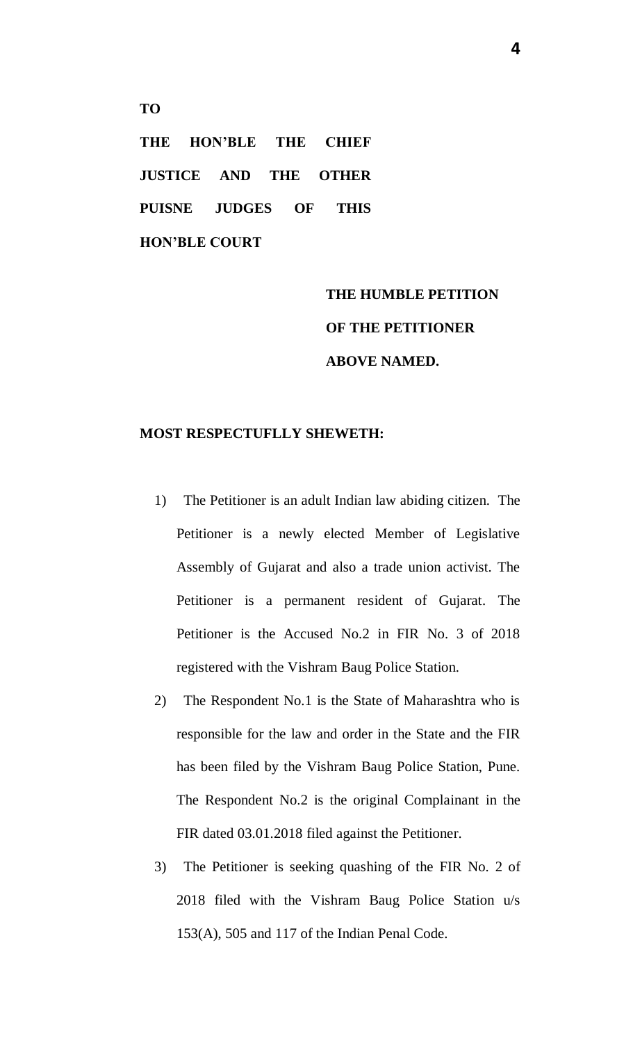**THE HON'BLE THE CHIEF JUSTICE AND THE OTHER PUISNE JUDGES OF THIS HON'BLE COURT**

**TO**

# **THE HUMBLE PETITION OF THE PETITIONER ABOVE NAMED.**

## **MOST RESPECTUFLLY SHEWETH:**

- 1) The Petitioner is an adult Indian law abiding citizen. The Petitioner is a newly elected Member of Legislative Assembly of Gujarat and also a trade union activist. The Petitioner is a permanent resident of Gujarat. The Petitioner is the Accused No.2 in FIR No. 3 of 2018 registered with the Vishram Baug Police Station.
- 2) The Respondent No.1 is the State of Maharashtra who is responsible for the law and order in the State and the FIR has been filed by the Vishram Baug Police Station, Pune. The Respondent No.2 is the original Complainant in the FIR dated 03.01.2018 filed against the Petitioner.
- 3) The Petitioner is seeking quashing of the FIR No. 2 of 2018 filed with the Vishram Baug Police Station u/s 153(A), 505 and 117 of the Indian Penal Code.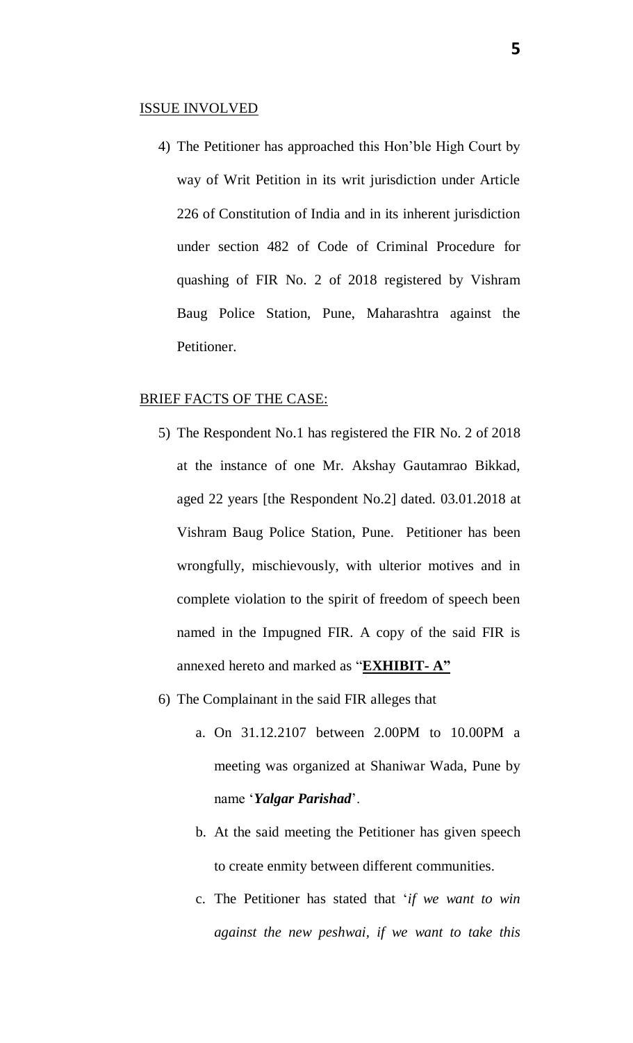#### ISSUE INVOLVED

4) The Petitioner has approached this Hon'ble High Court by way of Writ Petition in its writ jurisdiction under Article 226 of Constitution of India and in its inherent jurisdiction under section 482 of Code of Criminal Procedure for quashing of FIR No. 2 of 2018 registered by Vishram Baug Police Station, Pune, Maharashtra against the Petitioner.

#### BRIEF FACTS OF THE CASE:

- 5) The Respondent No.1 has registered the FIR No. 2 of 2018 at the instance of one Mr. Akshay Gautamrao Bikkad, aged 22 years [the Respondent No.2] dated. 03.01.2018 at Vishram Baug Police Station, Pune. Petitioner has been wrongfully, mischievously, with ulterior motives and in complete violation to the spirit of freedom of speech been named in the Impugned FIR. A copy of the said FIR is annexed hereto and marked as "**EXHIBIT- A"**
- 6) The Complainant in the said FIR alleges that
	- a. On 31.12.2107 between 2.00PM to 10.00PM a meeting was organized at Shaniwar Wada, Pune by name '*Yalgar Parishad*'.
	- b. At the said meeting the Petitioner has given speech to create enmity between different communities.
	- c. The Petitioner has stated that '*if we want to win against the new peshwai, if we want to take this*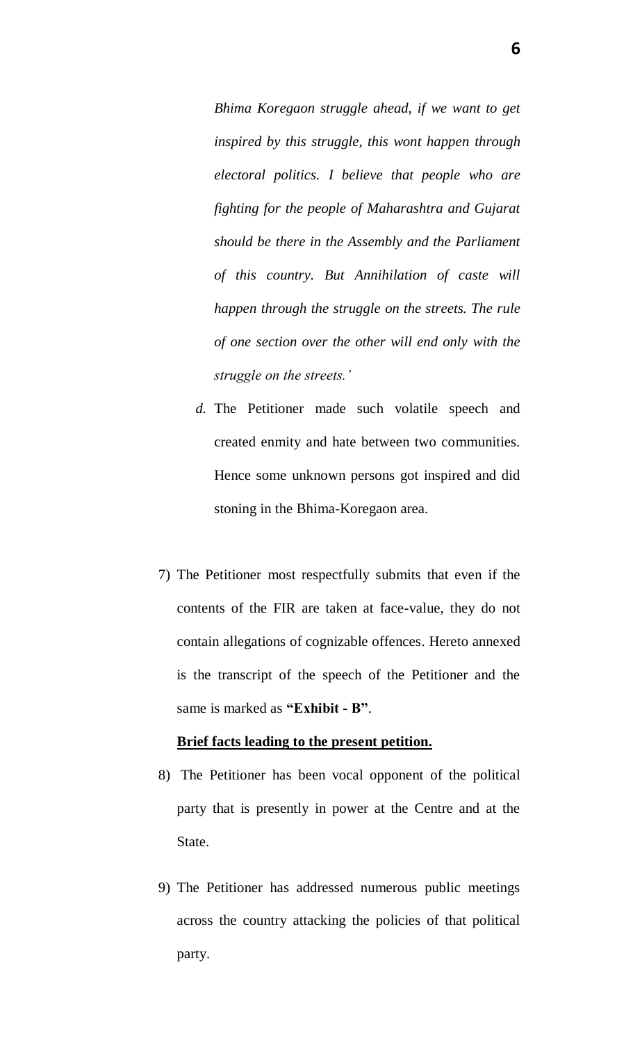*Bhima Koregaon struggle ahead, if we want to get inspired by this struggle, this wont happen through electoral politics. I believe that people who are fighting for the people of Maharashtra and Gujarat should be there in the Assembly and the Parliament of this country. But Annihilation of caste will happen through the struggle on the streets. The rule of one section over the other will end only with the struggle on the streets.'* 

- *d.* The Petitioner made such volatile speech and created enmity and hate between two communities. Hence some unknown persons got inspired and did stoning in the Bhima-Koregaon area.
- 7) The Petitioner most respectfully submits that even if the contents of the FIR are taken at face-value, they do not contain allegations of cognizable offences. Hereto annexed is the transcript of the speech of the Petitioner and the same is marked as **"Exhibit - B"**.

#### **Brief facts leading to the present petition.**

- 8) The Petitioner has been vocal opponent of the political party that is presently in power at the Centre and at the State.
- 9) The Petitioner has addressed numerous public meetings across the country attacking the policies of that political party.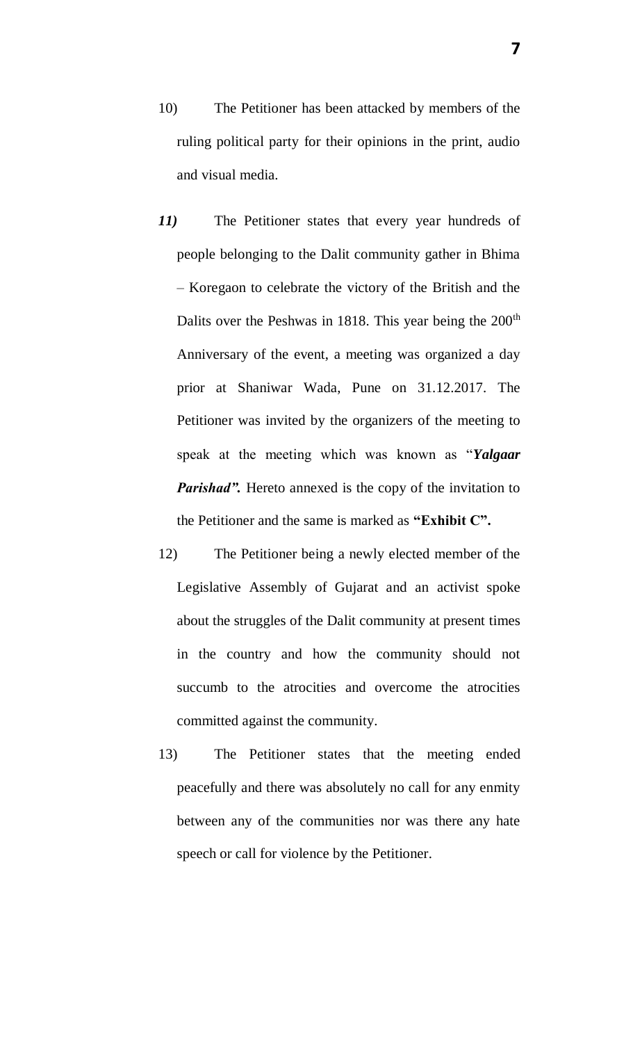- 10) The Petitioner has been attacked by members of the ruling political party for their opinions in the print, audio and visual media.
- *11)* The Petitioner states that every year hundreds of people belonging to the Dalit community gather in Bhima – Koregaon to celebrate the victory of the British and the Dalits over the Peshwas in 1818. This year being the 200<sup>th</sup> Anniversary of the event, a meeting was organized a day prior at Shaniwar Wada, Pune on 31.12.2017. The Petitioner was invited by the organizers of the meeting to speak at the meeting which was known as "*Yalgaar Parishad".* Hereto annexed is the copy of the invitation to the Petitioner and the same is marked as **"Exhibit C".**
- 12) The Petitioner being a newly elected member of the Legislative Assembly of Gujarat and an activist spoke about the struggles of the Dalit community at present times in the country and how the community should not succumb to the atrocities and overcome the atrocities committed against the community.
- 13) The Petitioner states that the meeting ended peacefully and there was absolutely no call for any enmity between any of the communities nor was there any hate speech or call for violence by the Petitioner.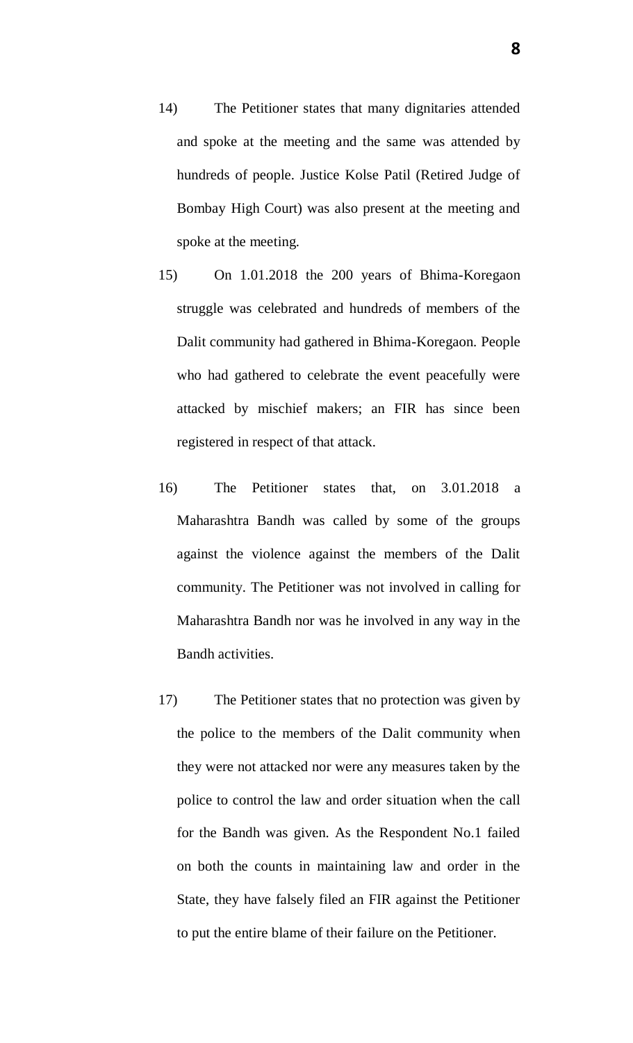- 14) The Petitioner states that many dignitaries attended and spoke at the meeting and the same was attended by hundreds of people. Justice Kolse Patil (Retired Judge of Bombay High Court) was also present at the meeting and spoke at the meeting.
- 15) On 1.01.2018 the 200 years of Bhima-Koregaon struggle was celebrated and hundreds of members of the Dalit community had gathered in Bhima-Koregaon. People who had gathered to celebrate the event peacefully were attacked by mischief makers; an FIR has since been registered in respect of that attack.
- 16) The Petitioner states that, on 3.01.2018 a Maharashtra Bandh was called by some of the groups against the violence against the members of the Dalit community. The Petitioner was not involved in calling for Maharashtra Bandh nor was he involved in any way in the Bandh activities.
- 17) The Petitioner states that no protection was given by the police to the members of the Dalit community when they were not attacked nor were any measures taken by the police to control the law and order situation when the call for the Bandh was given. As the Respondent No.1 failed on both the counts in maintaining law and order in the State, they have falsely filed an FIR against the Petitioner to put the entire blame of their failure on the Petitioner.

**8**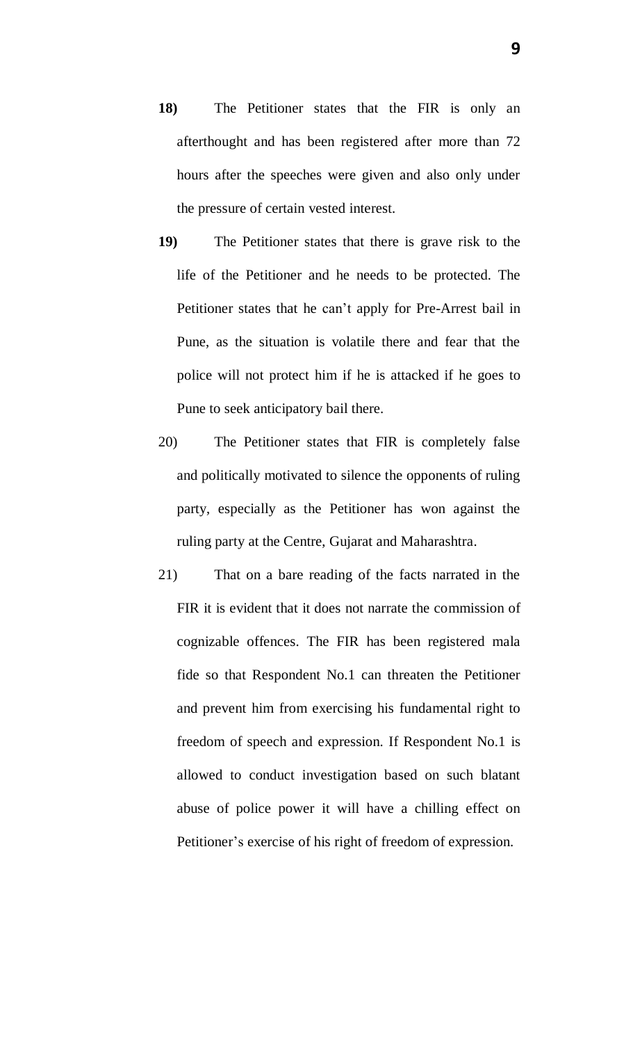- **18)** The Petitioner states that the FIR is only an afterthought and has been registered after more than 72 hours after the speeches were given and also only under the pressure of certain vested interest.
- **19)** The Petitioner states that there is grave risk to the life of the Petitioner and he needs to be protected. The Petitioner states that he can't apply for Pre-Arrest bail in Pune, as the situation is volatile there and fear that the police will not protect him if he is attacked if he goes to Pune to seek anticipatory bail there.
- 20) The Petitioner states that FIR is completely false and politically motivated to silence the opponents of ruling party, especially as the Petitioner has won against the ruling party at the Centre, Gujarat and Maharashtra.
- 21) That on a bare reading of the facts narrated in the FIR it is evident that it does not narrate the commission of cognizable offences. The FIR has been registered mala fide so that Respondent No.1 can threaten the Petitioner and prevent him from exercising his fundamental right to freedom of speech and expression. If Respondent No.1 is allowed to conduct investigation based on such blatant abuse of police power it will have a chilling effect on Petitioner's exercise of his right of freedom of expression.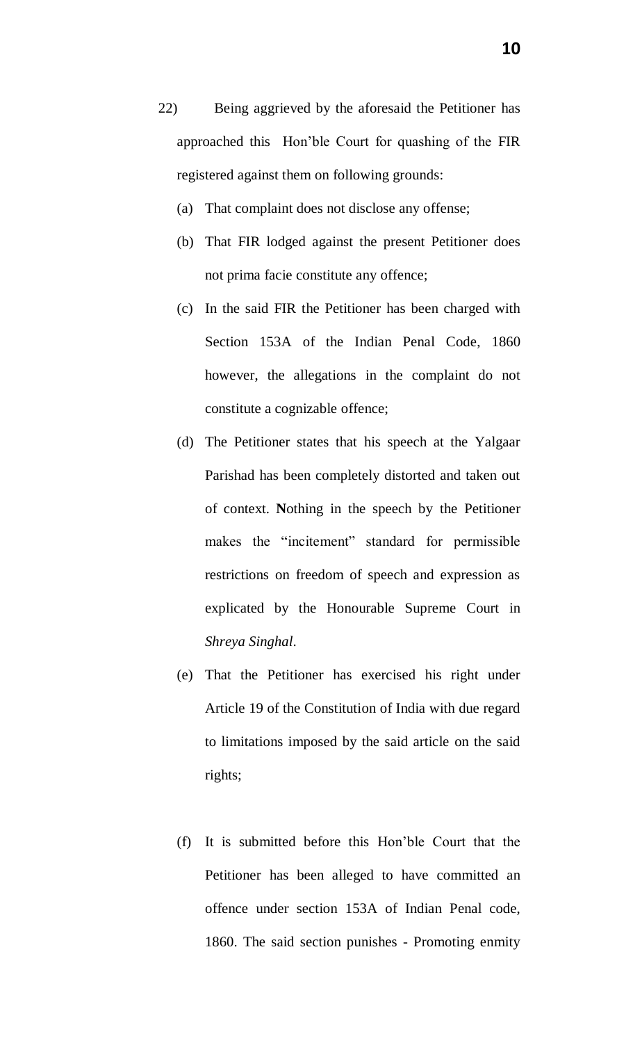- (a) That complaint does not disclose any offense;
- (b) That FIR lodged against the present Petitioner does not prima facie constitute any offence;
- (c) In the said FIR the Petitioner has been charged with Section 153A of the Indian Penal Code, 1860 however, the allegations in the complaint do not constitute a cognizable offence;
- (d) The Petitioner states that his speech at the Yalgaar Parishad has been completely distorted and taken out of context. **N**othing in the speech by the Petitioner makes the "incitement" standard for permissible restrictions on freedom of speech and expression as explicated by the Honourable Supreme Court in *Shreya Singhal*.
- (e) That the Petitioner has exercised his right under Article 19 of the Constitution of India with due regard to limitations imposed by the said article on the said rights;
- (f) It is submitted before this Hon'ble Court that the Petitioner has been alleged to have committed an offence under section 153A of Indian Penal code, 1860. The said section punishes - Promoting enmity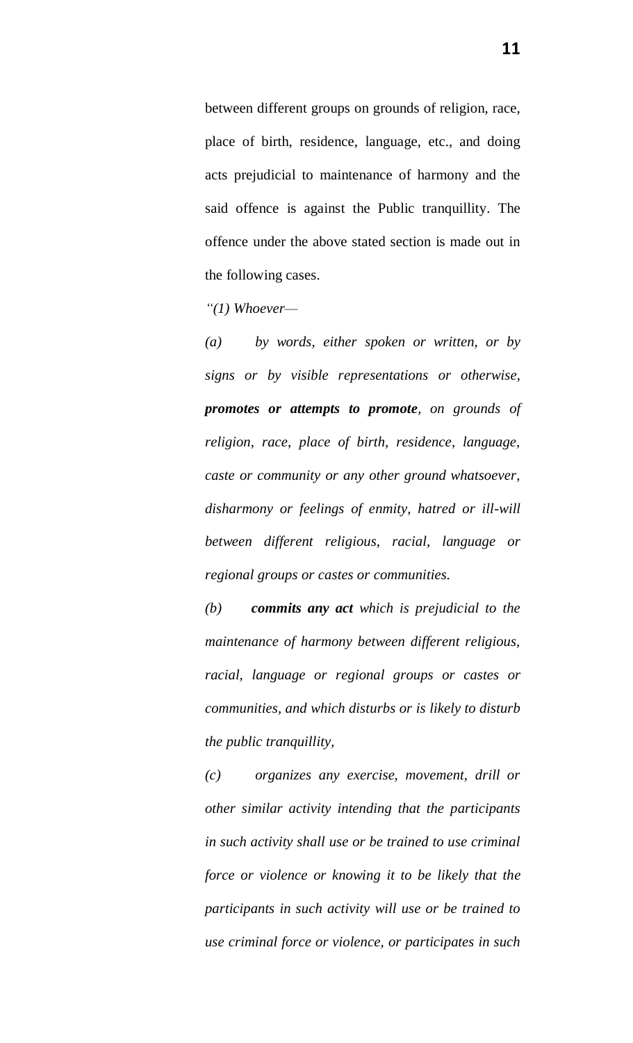between different groups on grounds of religion, race, place of birth, residence, language, etc., and doing acts prejudicial to maintenance of harmony and the said offence is against the Public tranquillity. The offence under the above stated section is made out in the following cases.

*["\(1\)](https://indiankanoon.org/doc/811548/) Whoever—*

*[\(a\)](https://indiankanoon.org/doc/1102504/) by words, either spoken or written, or by signs or by visible representations or otherwise, promotes or attempts to promote, on grounds of religion, race, place of birth, residence, language, caste or community or any other ground whatsoever, disharmony or feelings of enmity, hatred or ill-will between different religious, racial, language or regional groups or castes or communities.*

*(b) commits any act which is prejudicial to the maintenance of harmony between different religious, racial, language or regional groups or castes or communities, and which disturbs or is likely to disturb the public tranquillity,*

*(c) organizes any exercise, movement, drill or other similar activity intending that the participants in such activity shall use or be trained to use criminal force or violence or knowing it to be likely that the participants in such activity will use or be trained to use criminal force or violence, or participates in such*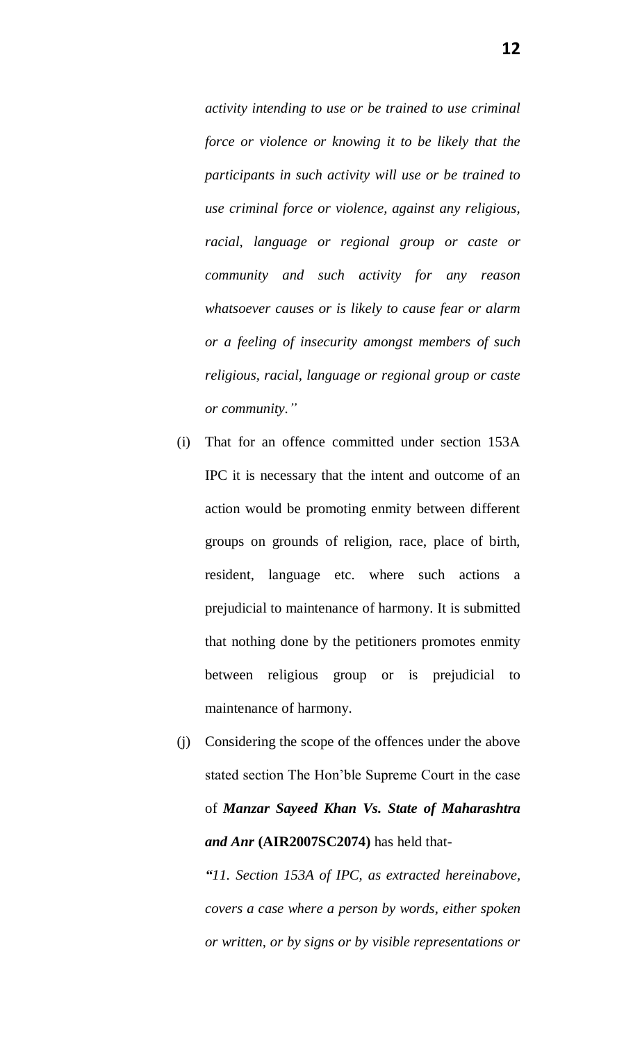*activity intending to use or be trained to use criminal force or violence or knowing it to be likely that the participants in such activity will use or be trained to use criminal force or violence, against any religious, racial, language or regional group or caste or community and such activity for any reason whatsoever causes or is likely to cause fear or alarm or a feeling of insecurity amongst members of such religious, racial, language or regional group or caste or community."*

- (i) That for an offence committed under section 153A IPC it is necessary that the intent and outcome of an action would be promoting enmity between different groups on grounds of religion, race, place of birth, resident, language etc. where such actions a prejudicial to maintenance of harmony. It is submitted that nothing done by the petitioners promotes enmity between religious group or is prejudicial to maintenance of harmony.
- (j) Considering the scope of the offences under the above stated section The Hon'ble Supreme Court in the case of *Manzar Sayeed Khan Vs. State of Maharashtra and Anr* **(AIR2007SC2074)** has held that-

*"11. Section 153A of IPC, as extracted hereinabove, covers a case where a person by words, either spoken or written, or by signs or by visible representations or*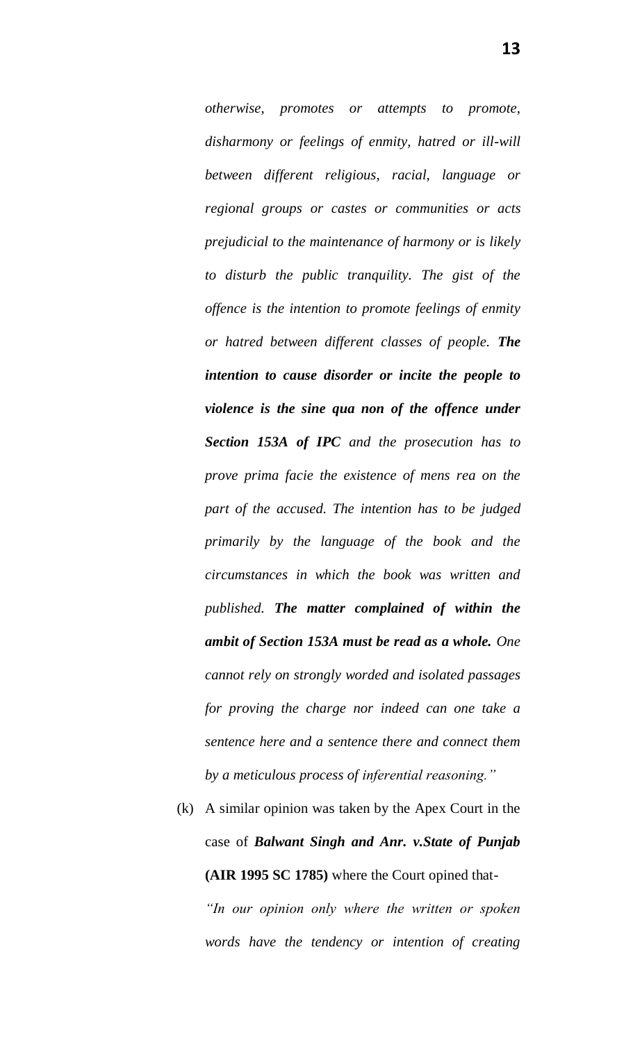*otherwise, promotes or attempts to promote, disharmony or feelings of enmity, hatred or ill-will between different religious, racial, language or regional groups or castes or communities or acts prejudicial to the maintenance of harmony or is likely to disturb the public tranquility. The gist of the offence is the intention to promote feelings of enmity or hatred between different classes of people. The intention to cause disorder or incite the people to violence is the sine qua non of the offence under Section 153A of IPC and the prosecution has to prove prima facie the existence of mens rea on the part of the accused. The intention has to be judged primarily by the language of the book and the circumstances in which the book was written and published. The matter complained of within the ambit of Section 153A must be read as a whole. One cannot rely on strongly worded and isolated passages for proving the charge nor indeed can one take a sentence here and a sentence there and connect them by a meticulous process of inferential reasoning."*

(k) A similar opinion was taken by the Apex Court in the case of *Balwant Singh and Anr. v.State of Punjab* **(AIR 1995 SC 1785)** where the Court opined that- *"In our opinion only where the written or spoken words have the tendency or intention of creating* 

**13**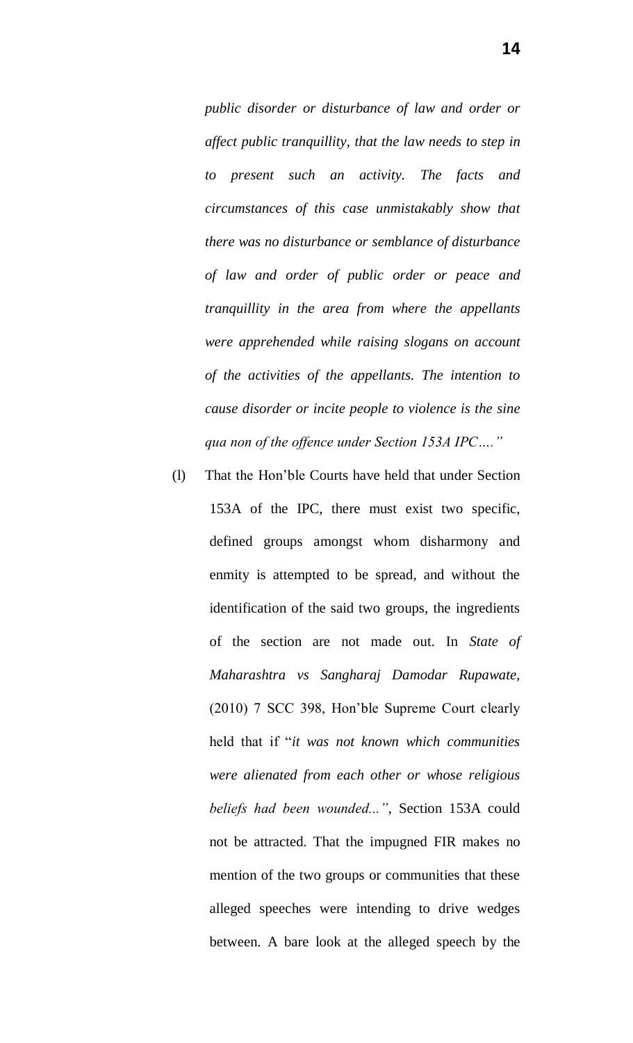*public disorder or disturbance of law and order or affect public tranquillity, that the law needs to step in to present such an activity. The facts and circumstances of this case unmistakably show that there was no disturbance or semblance of disturbance of law and order of public order or peace and tranquillity in the area from where the appellants were apprehended while raising slogans on account of the activities of the appellants. The intention to cause disorder or incite people to violence is the sine qua non of the offence under Section 153A IPC…."* 

(l) That the Hon'ble Courts have held that under Section 153A of the IPC, there must exist two specific, defined groups amongst whom disharmony and enmity is attempted to be spread, and without the identification of the said two groups, the ingredients of the section are not made out. In *State of Maharashtra vs Sangharaj Damodar Rupawate*, (2010) 7 SCC 398, Hon'ble Supreme Court clearly held that if "*it was not known which communities were alienated from each other or whose religious beliefs had been wounded..."*, Section 153A could not be attracted. That the impugned FIR makes no mention of the two groups or communities that these alleged speeches were intending to drive wedges between. A bare look at the alleged speech by the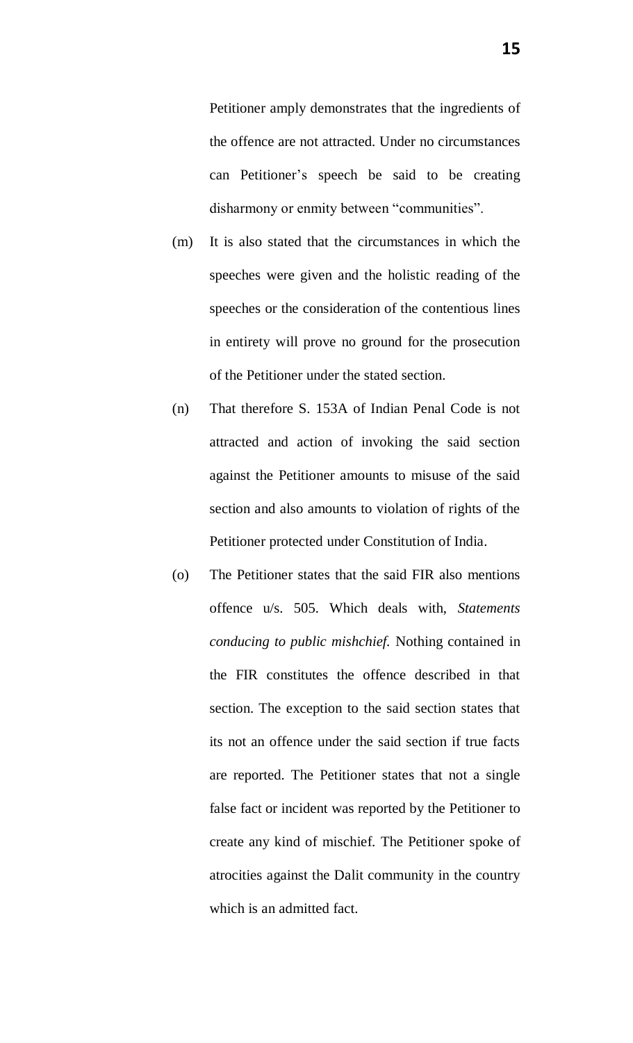Petitioner amply demonstrates that the ingredients of the offence are not attracted. Under no circumstances can Petitioner's speech be said to be creating disharmony or enmity between "communities".

- (m) It is also stated that the circumstances in which the speeches were given and the holistic reading of the speeches or the consideration of the contentious lines in entirety will prove no ground for the prosecution of the Petitioner under the stated section.
- (n) That therefore S. 153A of Indian Penal Code is not attracted and action of invoking the said section against the Petitioner amounts to misuse of the said section and also amounts to violation of rights of the Petitioner protected under Constitution of India.
- (o) The Petitioner states that the said FIR also mentions offence u/s. 505. Which deals with, *Statements conducing to public mishchief.* Nothing contained in the FIR constitutes the offence described in that section. The exception to the said section states that its not an offence under the said section if true facts are reported. The Petitioner states that not a single false fact or incident was reported by the Petitioner to create any kind of mischief. The Petitioner spoke of atrocities against the Dalit community in the country which is an admitted fact.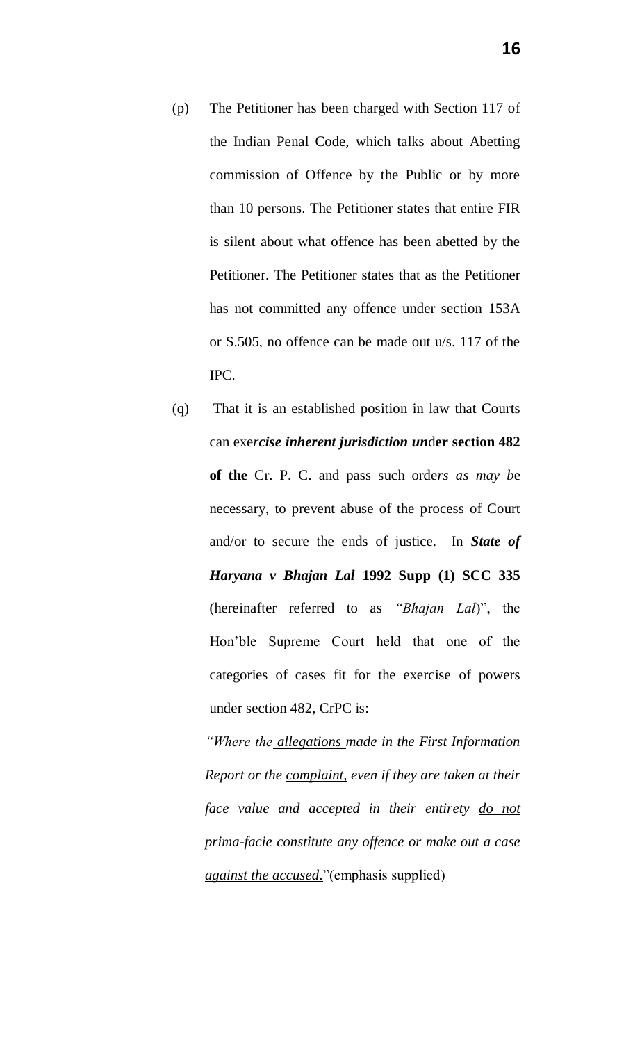- (p) The Petitioner has been charged with Section 117 of the Indian Penal Code, which talks about Abetting commission of Offence by the Public or by more than 10 persons. The Petitioner states that entire FIR is silent about what offence has been abetted by the Petitioner. The Petitioner states that as the Petitioner has not committed any offence under section 153A or S.505, no offence can be made out u/s. 117 of the IPC.
- (q) That it is an established position in law that Courts can exe*rcise inherent jurisdiction un*d**er section 482 of the** Cr. P. C. and pass such orde*rs as may b*e necessary, to prevent abuse of the process of Court and/or to secure the ends of justice. In *State of Haryana v Bhajan Lal* **1992 Supp (1) SCC 335** (hereinafter referred to as *"Bhajan Lal*)", the Hon'ble Supreme Court held that one of the categories of cases fit for the exercise of powers under section 482, CrPC is:

*"Where the allegations made in the First Information Report or the complaint, even if they are taken at their face value and accepted in their entirety do not prima-facie constitute any offence or make out a case against the accused*."(emphasis supplied)

**16**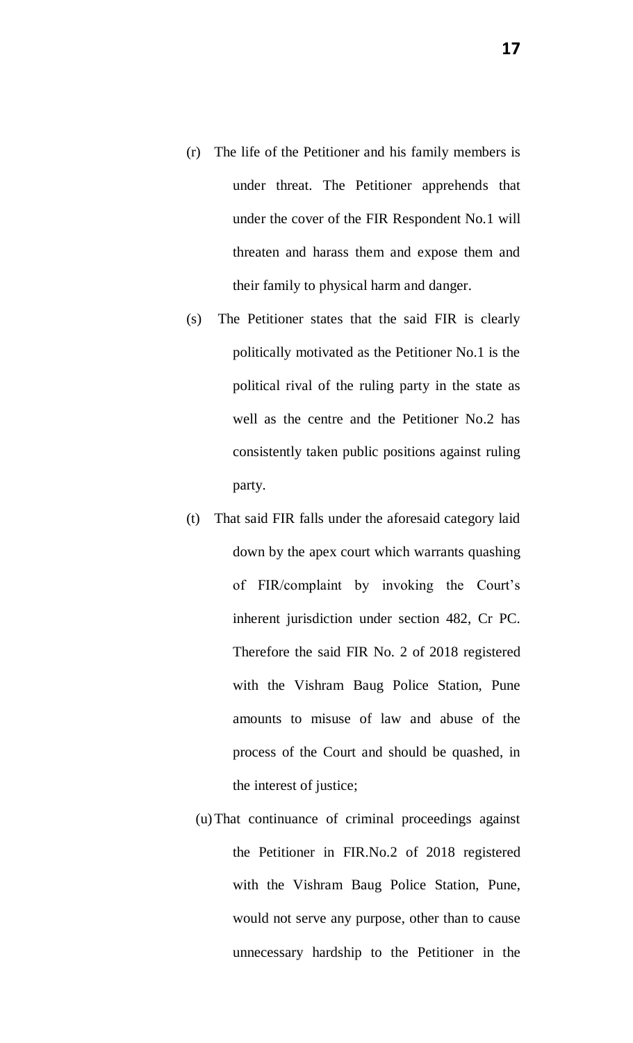- (r) The life of the Petitioner and his family members is under threat. The Petitioner apprehends that under the cover of the FIR Respondent No.1 will threaten and harass them and expose them and their family to physical harm and danger.
- (s) The Petitioner states that the said FIR is clearly politically motivated as the Petitioner No.1 is the political rival of the ruling party in the state as well as the centre and the Petitioner No.2 has consistently taken public positions against ruling party.
- (t) That said FIR falls under the aforesaid category laid down by the apex court which warrants quashing of FIR/complaint by invoking the Court's inherent jurisdiction under section 482, Cr PC. Therefore the said FIR No. 2 of 2018 registered with the Vishram Baug Police Station, Pune amounts to misuse of law and abuse of the process of the Court and should be quashed, in the interest of justice;
	- (u)That continuance of criminal proceedings against the Petitioner in FIR.No.2 of 2018 registered with the Vishram Baug Police Station, Pune, would not serve any purpose, other than to cause unnecessary hardship to the Petitioner in the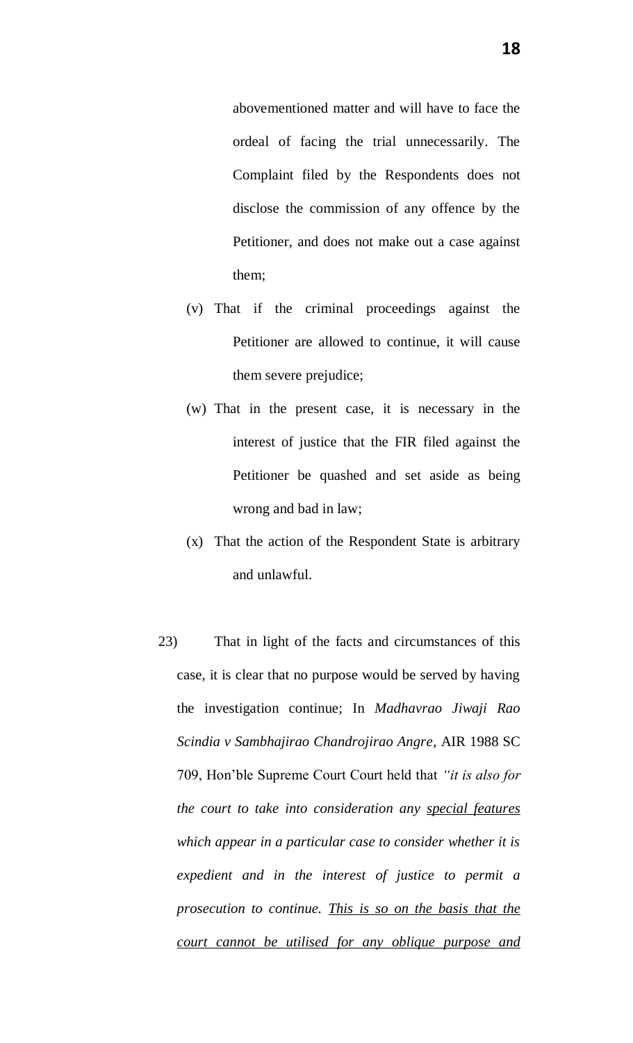abovementioned matter and will have to face the ordeal of facing the trial unnecessarily. The Complaint filed by the Respondents does not disclose the commission of any offence by the Petitioner, and does not make out a case against them;

- (v) That if the criminal proceedings against the Petitioner are allowed to continue, it will cause them severe prejudice;
- (w) That in the present case, it is necessary in the interest of justice that the FIR filed against the Petitioner be quashed and set aside as being wrong and bad in law;
- (x) That the action of the Respondent State is arbitrary and unlawful.
- 23) That in light of the facts and circumstances of this case, it is clear that no purpose would be served by having the investigation continue; In *Madhavrao Jiwaji Rao Scindia v Sambhajirao Chandrojirao Angre*, AIR 1988 SC 709, Hon'ble Supreme Court Court held that *"it is also for the court to take into consideration any special features which appear in a particular case to consider whether it is expedient and in the interest of justice to permit a prosecution to continue. This is so on the basis that the court cannot be utilised for any oblique purpose and*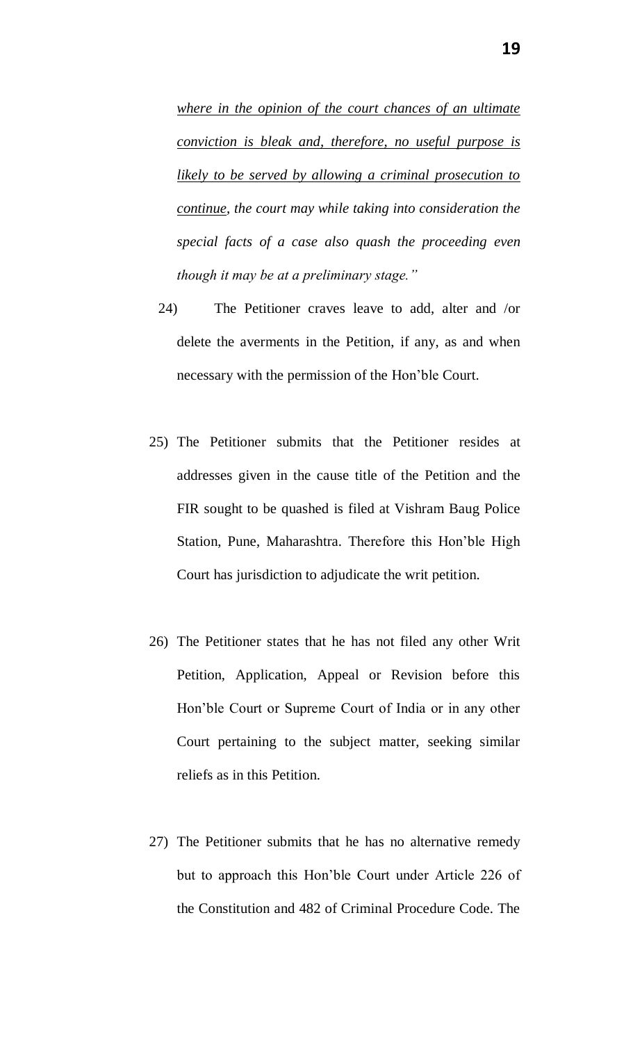*where in the opinion of the court chances of an ultimate conviction is bleak and, therefore, no useful purpose is likely to be served by allowing a criminal prosecution to continue, the court may while taking into consideration the special facts of a case also quash the proceeding even though it may be at a preliminary stage."*

- 24) The Petitioner craves leave to add, alter and /or delete the averments in the Petition, if any, as and when necessary with the permission of the Hon'ble Court.
- 25) The Petitioner submits that the Petitioner resides at addresses given in the cause title of the Petition and the FIR sought to be quashed is filed at Vishram Baug Police Station, Pune, Maharashtra. Therefore this Hon'ble High Court has jurisdiction to adjudicate the writ petition.
- 26) The Petitioner states that he has not filed any other Writ Petition, Application, Appeal or Revision before this Hon'ble Court or Supreme Court of India or in any other Court pertaining to the subject matter, seeking similar reliefs as in this Petition.
- 27) The Petitioner submits that he has no alternative remedy but to approach this Hon'ble Court under Article 226 of the Constitution and 482 of Criminal Procedure Code. The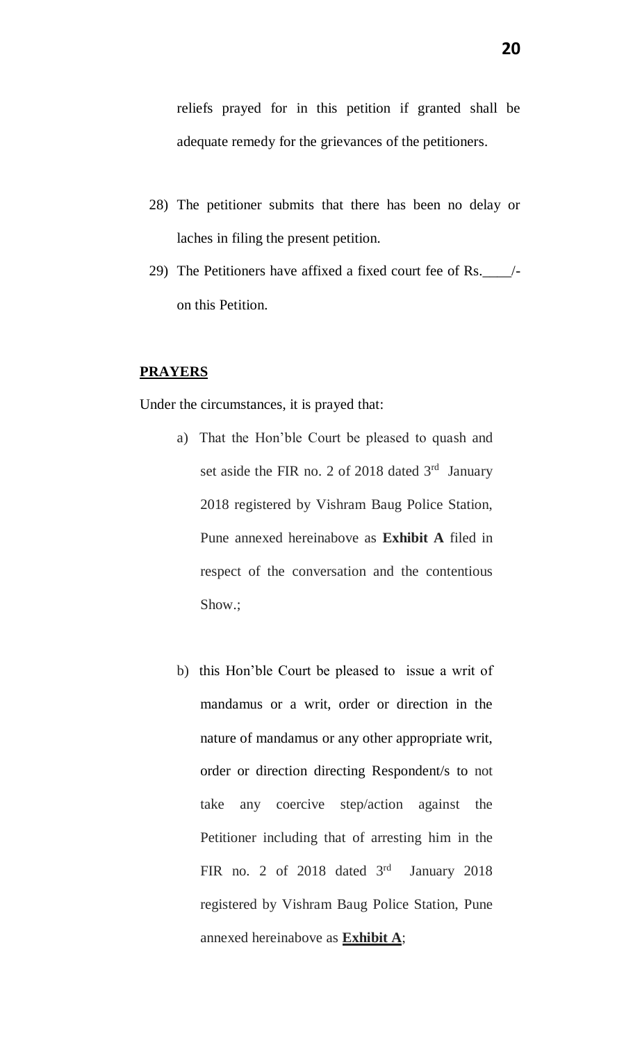reliefs prayed for in this petition if granted shall be adequate remedy for the grievances of the petitioners.

- 28) The petitioner submits that there has been no delay or laches in filing the present petition.
- 29) The Petitioners have affixed a fixed court fee of Rs.\_\_\_\_/ on this Petition.

#### **PRAYERS**

Under the circumstances, it is prayed that:

- a) That the Hon'ble Court be pleased to quash and set aside the FIR no. 2 of 2018 dated  $3<sup>rd</sup>$  January 2018 registered by Vishram Baug Police Station, Pune annexed hereinabove as **Exhibit A** filed in respect of the conversation and the contentious Show.;
- b) this Hon'ble Court be pleased to issue a writ of mandamus or a writ, order or direction in the nature of mandamus or any other appropriate writ, order or direction directing Respondent/s to not take any coercive step/action against the Petitioner including that of arresting him in the FIR no. 2 of 2018 dated  $3<sup>rd</sup>$ January 2018 registered by Vishram Baug Police Station, Pune annexed hereinabove as **Exhibit A**;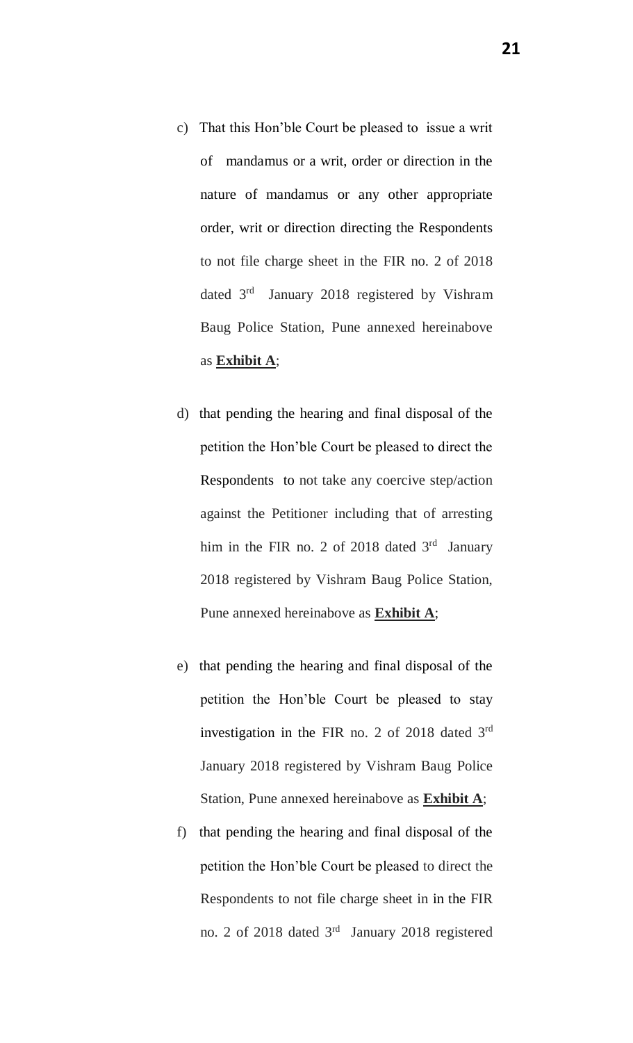- c) That this Hon'ble Court be pleased to issue a writ of mandamus or a writ, order or direction in the nature of mandamus or any other appropriate order, writ or direction directing the Respondents to not file charge sheet in the FIR no. 2 of 2018 dated 3<sup>rd</sup> January 2018 registered by Vishram Baug Police Station, Pune annexed hereinabove as **Exhibit A**;
- d) that pending the hearing and final disposal of the petition the Hon'ble Court be pleased to direct the Respondents to not take any coercive step/action against the Petitioner including that of arresting him in the FIR no. 2 of 2018 dated  $3<sup>rd</sup>$  January 2018 registered by Vishram Baug Police Station, Pune annexed hereinabove as **Exhibit A**;
- e) that pending the hearing and final disposal of the petition the Hon'ble Court be pleased to stay investigation in the FIR no. 2 of 2018 dated 3rd January 2018 registered by Vishram Baug Police Station, Pune annexed hereinabove as **Exhibit A**;
- f) that pending the hearing and final disposal of the petition the Hon'ble Court be pleased to direct the Respondents to not file charge sheet in in the FIR no. 2 of 2018 dated 3<sup>rd</sup> January 2018 registered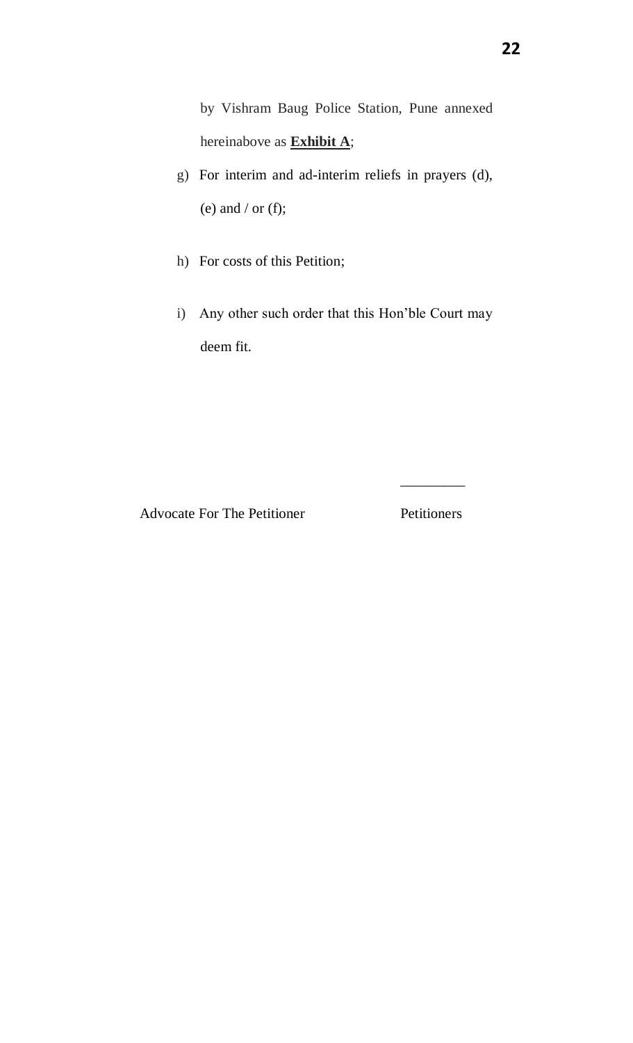by Vishram Baug Police Station, Pune annexed hereinabove as **Exhibit A**;

- g) For interim and ad-interim reliefs in prayers (d), (e) and  $/$  or (f);
- h) For costs of this Petition;
- i) Any other such order that this Hon'ble Court may deem fit.

Advocate For The Petitioner Petitioners

 $\overline{\phantom{a}}$